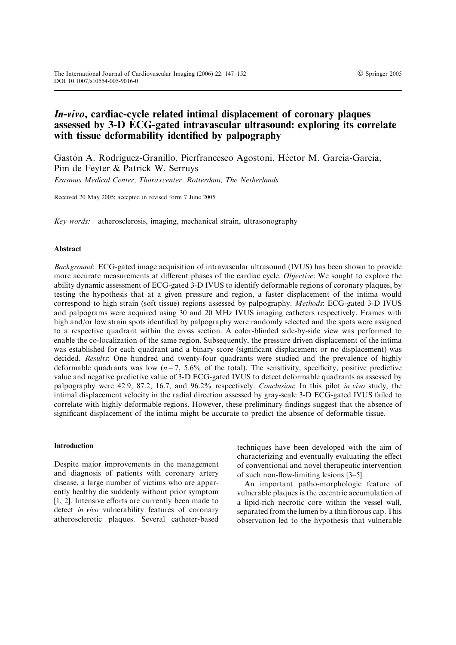# In-vivo, cardiac-cycle related intimal displacement of coronary plaques assessed by 3-D ECG-gated intravascular ultrasound: exploring its correlate with tissue deformability identified by palpography

Gastón A. Rodriguez-Granillo, Pierfrancesco Agostoni, Héctor M. García-García, Pim de Feyter & Patrick W. Serruys Erasmus Medical Center, Thoraxcenter, Rotterdam, The Netherlands

Received 20 May 2005; accepted in revised form 7 June 2005

Key words: atherosclerosis, imaging, mechanical strain, ultrasonography

## Abstract

Background: ECG-gated image acquisition of intravascular ultrasound (IVUS) has been shown to provide more accurate measurements at different phases of the cardiac cycle. Objective: We sought to explore the ability dynamic assessment of ECG-gated 3-D IVUS to identify deformable regions of coronary plaques, by testing the hypothesis that at a given pressure and region, a faster displacement of the intima would correspond to high strain (soft tissue) regions assessed by palpography. Methods: ECG-gated 3-D IVUS and palpograms were acquired using 30 and 20 MHz IVUS imaging catheters respectively. Frames with high and/or low strain spots identified by palpography were randomly selected and the spots were assigned to a respective quadrant within the cross section. A color-blinded side-by-side view was performed to enable the co-localization of the same region. Subsequently, the pressure driven displacement of the intima was established for each quadrant and a binary score (significant displacement or no displacement) was decided. Results: One hundred and twenty-four quadrants were studied and the prevalence of highly deformable quadrants was low  $(n=7, 5.6\%$  of the total). The sensitivity, specificity, positive predictive value and negative predictive value of 3-D ECG-gated IVUS to detect deformable quadrants as assessed by palpography were 42.9, 87.2, 16.7, and 96.2% respectively. Conclusion: In this pilot in vivo study, the intimal displacement velocity in the radial direction assessed by gray-scale 3-D ECG-gated IVUS failed to correlate with highly deformable regions. However, these preliminary findings suggest that the absence of significant displacement of the intima might be accurate to predict the absence of deformable tissue.

#### Introduction

Despite major improvements in the management and diagnosis of patients with coronary artery disease, a large number of victims who are apparently healthy die suddenly without prior symptom [1, 2]. Intensive efforts are currently been made to detect *in vivo* vulnerability features of coronary atherosclerotic plaques. Several catheter-based

techniques have been developed with the aim of characterizing and eventually evaluating the effect of conventional and novel therapeutic intervention of such non-flow-limiting lesions [3–5].

An important patho-morphologic feature of vulnerable plaques is the eccentric accumulation of a lipid-rich necrotic core within the vessel wall, separated from the lumen by a thin fibrous cap. This observation led to the hypothesis that vulnerable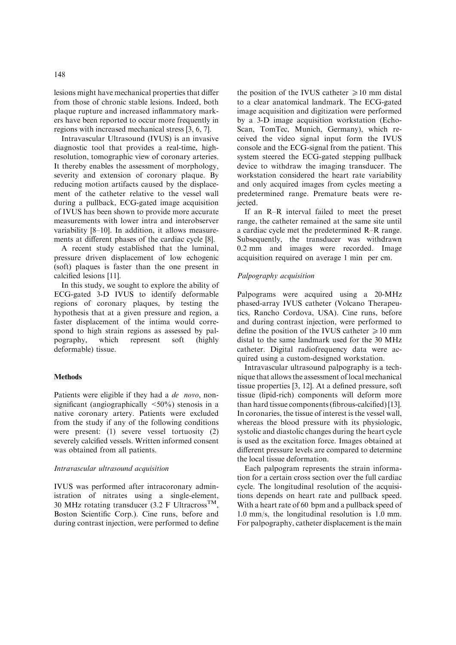lesions might have mechanical properties that differ from those of chronic stable lesions. Indeed, both plaque rupture and increased inflammatory markers have been reported to occur more frequently in regions with increased mechanical stress [3, 6, 7].

Intravascular Ultrasound (IVUS) is an invasive diagnostic tool that provides a real-time, highresolution, tomographic view of coronary arteries. It thereby enables the assessment of morphology, severity and extension of coronary plaque. By reducing motion artifacts caused by the displacement of the catheter relative to the vessel wall during a pullback, ECG-gated image acquisition of IVUS has been shown to provide more accurate measurements with lower intra and interobserver variability [8–10]. In addition, it allows measurements at different phases of the cardiac cycle [8].

A recent study established that the luminal, pressure driven displacement of low echogenic (soft) plaques is faster than the one present in calcified lesions [11].

In this study, we sought to explore the ability of ECG-gated 3-D IVUS to identify deformable regions of coronary plaques, by testing the hypothesis that at a given pressure and region, a faster displacement of the intima would correspond to high strain regions as assessed by palpography, which represent soft (highly deformable) tissue.

## **Methods**

Patients were eligible if they had a *de novo*, nonsignificant (angiographically  $\langle 50\% \rangle$ ) stenosis in a native coronary artery. Patients were excluded from the study if any of the following conditions were present: (1) severe vessel tortuosity (2) severely calcified vessels. Written informed consent was obtained from all patients.

## Intravascular ultrasound acquisition

IVUS was performed after intracoronary administration of nitrates using a single-element, 30 MHz rotating transducer (3.2 F Ultracross<sup>TM</sup>, Boston Scientific Corp.). Cine runs, before and during contrast injection, were performed to define

the position of the IVUS catheter  $\geq 10$  mm distal to a clear anatomical landmark. The ECG-gated image acquisition and digitization were performed by a 3-D image acquisition workstation (Echo-Scan, TomTec, Munich, Germany), which received the video signal input form the IVUS console and the ECG-signal from the patient. This system steered the ECG-gated stepping pullback device to withdraw the imaging transducer. The workstation considered the heart rate variability and only acquired images from cycles meeting a predetermined range. Premature beats were rejected.

If an R–R interval failed to meet the preset range, the catheter remained at the same site until a cardiac cycle met the predetermined R–R range. Subsequently, the transducer was withdrawn 0.2 mm and images were recorded. Image acquisition required on average 1 min per cm.

## Palpography acquisition

Palpograms were acquired using a 20-MHz phased-array IVUS catheter (Volcano Therapeutics, Rancho Cordova, USA). Cine runs, before and during contrast injection, were performed to define the position of the IVUS catheter  $\geq 10$  mm distal to the same landmark used for the 30 MHz catheter. Digital radiofrequency data were acquired using a custom-designed workstation.

Intravascular ultrasound palpography is a technique that allows the assessment of local mechanical tissue properties [3, 12]. At a defined pressure, soft tissue (lipid-rich) components will deform more than hard tissue components (fibrous-calcified) [13]. In coronaries, the tissue of interest is the vessel wall, whereas the blood pressure with its physiologic, systolic and diastolic changes during the heart cycle is used as the excitation force. Images obtained at different pressure levels are compared to determine the local tissue deformation.

Each palpogram represents the strain information for a certain cross section over the full cardiac cycle. The longitudinal resolution of the acquisitions depends on heart rate and pullback speed. With a heart rate of 60 bpm and a pullback speed of 1.0 mm/s, the longitudinal resolution is 1.0 mm. For palpography, catheter displacement is the main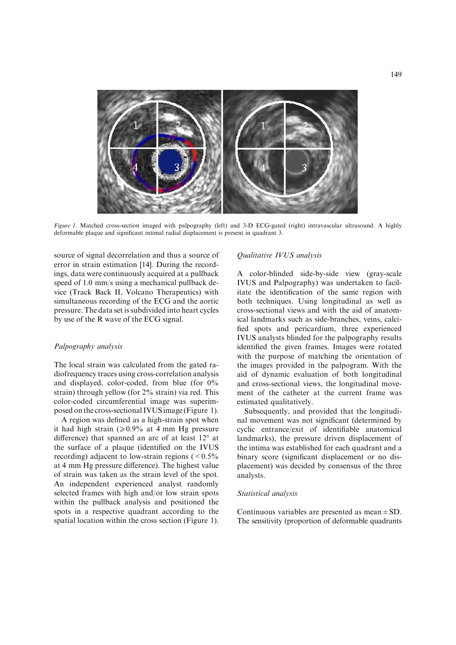

Figure 1. Matched cross-section imaged with palpography (left) and 3-D ECG-gated (right) intravascular ultrasound. A highly deformable plaque and significant intimal radial displacement is present in quadrant 3.

source of signal decorrelation and thus a source of error in strain estimation [14]. During the recordings, data were continuously acquired at a pullback speed of 1.0 mm/s using a mechanical pullback device (Track Back II, Volcano Therapeutics) with simultaneous recording of the ECG and the aortic pressure. The data set is subdivided into heart cycles by use of the R wave of the ECG signal.

## Palpography analysis

The local strain was calculated from the gated radiofrequency traces using cross-correlation analysis and displayed, color-coded, from blue (for 0% strain) through yellow (for 2% strain) via red. This color-coded circumferential image was superimposed on the cross-sectional IVUS image (Figure 1).

A region was defined as a high-strain spot when it had high strain  $\approx 0.9\%$  at 4 mm Hg pressure difference) that spanned an arc of at least  $12^{\circ}$  at the surface of a plaque (identified on the IVUS recording) adjacent to low-strain regions  $(< 0.5\%$ at 4 mm Hg pressure difference). The highest value of strain was taken as the strain level of the spot. An independent experienced analyst randomly selected frames with high and/or low strain spots within the pullback analysis and positioned the spots in a respective quadrant according to the spatial location within the cross section (Figure 1).

## Qualitative IVUS analysis

A color-blinded side-by-side view (gray-scale IVUS and Palpography) was undertaken to facilitate the identification of the same region with both techniques. Using longitudinal as well as cross-sectional views and with the aid of anatomical landmarks such as side-branches, veins, calcified spots and pericardium, three experienced IVUS analysts blinded for the palpography results identified the given frames. Images were rotated with the purpose of matching the orientation of the images provided in the palpogram. With the aid of dynamic evaluation of both longitudinal and cross-sectional views, the longitudinal movement of the catheter at the current frame was estimated qualitatively.

Subsequently, and provided that the longitudinal movement was not significant (determined by cyclic entrance/exit of identifiable anatomical landmarks), the pressure driven displacement of the intima was established for each quadrant and a binary score (significant displacement or no displacement) was decided by consensus of the three analysts.

#### Statistical analysis

Continuous variables are presented as mean  $\pm$  SD. The sensitivity (proportion of deformable quadrants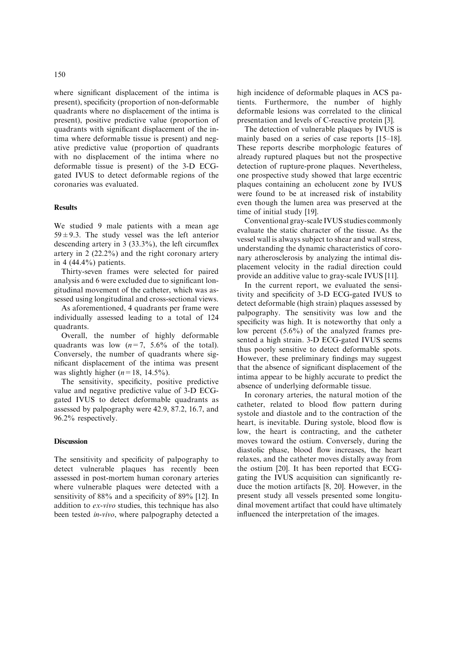where significant displacement of the intima is present), specificity (proportion of non-deformable quadrants where no displacement of the intima is present), positive predictive value (proportion of quadrants with significant displacement of the intima where deformable tissue is present) and negative predictive value (proportion of quadrants with no displacement of the intima where no deformable tissue is present) of the 3-D ECGgated IVUS to detect deformable regions of the coronaries was evaluated.

## Results

We studied 9 male patients with a mean age  $59 \pm 9.3$ . The study vessel was the left anterior descending artery in 3 (33.3%), the left circumflex artery in 2 (22.2%) and the right coronary artery in 4  $(44.4\%)$  patients.

Thirty-seven frames were selected for paired analysis and 6 were excluded due to significant longitudinal movement of the catheter, which was assessed using longitudinal and cross-sectional views.

As aforementioned, 4 quadrants per frame were individually assessed leading to a total of 124 quadrants.

Overall, the number of highly deformable quadrants was low  $(n=7, 5.6\%$  of the total). Conversely, the number of quadrants where significant displacement of the intima was present was slightly higher  $(n=18, 14.5\%)$ .

The sensitivity, specificity, positive predictive value and negative predictive value of 3-D ECGgated IVUS to detect deformable quadrants as assessed by palpography were 42.9, 87.2, 16.7, and 96.2% respectively.

# Discussion

The sensitivity and specificity of palpography to detect vulnerable plaques has recently been assessed in post-mortem human coronary arteries where vulnerable plaques were detected with a sensitivity of 88% and a specificity of 89% [12]. In addition to ex-vivo studies, this technique has also been tested in-vivo, where palpography detected a

high incidence of deformable plaques in ACS patients. Furthermore, the number of highly deformable lesions was correlated to the clinical presentation and levels of C-reactive protein [3].

The detection of vulnerable plaques by IVUS is mainly based on a series of case reports [15–18]. These reports describe morphologic features of already ruptured plaques but not the prospective detection of rupture-prone plaques. Nevertheless, one prospective study showed that large eccentric plaques containing an echolucent zone by IVUS were found to be at increased risk of instability even though the lumen area was preserved at the time of initial study [19].

Conventional gray-scale IVUS studies commonly evaluate the static character of the tissue. As the vessel wall is always subject to shear and wall stress, understanding the dynamic characteristics of coronary atherosclerosis by analyzing the intimal displacement velocity in the radial direction could provide an additive value to gray-scale IVUS [11].

In the current report, we evaluated the sensitivity and specificity of 3-D ECG-gated IVUS to detect deformable (high strain) plaques assessed by palpography. The sensitivity was low and the specificity was high. It is noteworthy that only a low percent (5.6%) of the analyzed frames presented a high strain. 3-D ECG-gated IVUS seems thus poorly sensitive to detect deformable spots. However, these preliminary findings may suggest that the absence of significant displacement of the intima appear to be highly accurate to predict the absence of underlying deformable tissue.

In coronary arteries, the natural motion of the catheter, related to blood flow pattern during systole and diastole and to the contraction of the heart, is inevitable. During systole, blood flow is low, the heart is contracting, and the catheter moves toward the ostium. Conversely, during the diastolic phase, blood flow increases, the heart relaxes, and the catheter moves distally away from the ostium [20]. It has been reported that ECGgating the IVUS acquisition can significantly reduce the motion artifacts [8, 20]. However, in the present study all vessels presented some longitudinal movement artifact that could have ultimately influenced the interpretation of the images.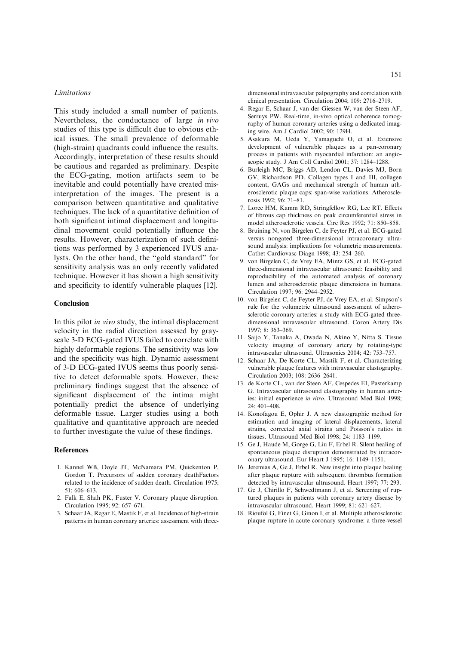## **Limitations**

This study included a small number of patients. Nevertheless, the conductance of large in vivo studies of this type is difficult due to obvious ethical issues. The small prevalence of deformable (high-strain) quadrants could influence the results. Accordingly, interpretation of these results should be cautious and regarded as preliminary. Despite the ECG-gating, motion artifacts seem to be inevitable and could potentially have created misinterpretation of the images. The present is a comparison between quantitative and qualitative techniques. The lack of a quantitative definition of both significant intimal displacement and longitudinal movement could potentially influence the results. However, characterization of such definitions was performed by 3 experienced IVUS analysts. On the other hand, the ''gold standard'' for sensitivity analysis was an only recently validated technique. However it has shown a high sensitivity and specificity to identify vulnerable plaques [12].

## Conclusion

In this pilot in vivo study, the intimal displacement velocity in the radial direction assessed by grayscale 3-D ECG-gated IVUS failed to correlate with highly deformable regions. The sensitivity was low and the specificity was high. Dynamic assessment of 3-D ECG-gated IVUS seems thus poorly sensitive to detect deformable spots. However, these preliminary findings suggest that the absence of significant displacement of the intima might potentially predict the absence of underlying deformable tissue. Larger studies using a both qualitative and quantitative approach are needed to further investigate the value of these findings.

## References

- 1. Kannel WB, Doyle JT, McNamara PM, Quickenton P, Gordon T. Precursors of sudden coronary deathFactors related to the incidence of sudden death. Circulation 1975; 51: 606–613.
- 2. Falk E, Shah PK, Fuster V. Coronary plaque disruption. Circulation 1995; 92: 657–671.
- 3. Schaar JA, Regar E, Mastik F, et al. Incidence of high-strain patterns in human coronary arteries: assessment with three-

dimensional intravascular palpography and correlation with clinical presentation. Circulation 2004; 109: 2716–2719.

- 4. Regar E, Schaar J, van der Giessen W, van der Steen AF, Serruys PW. Real-time, in-vivo optical coherence tomography of human coronary arteries using a dedicated imaging wire. Am J Cardiol 2002; 90: 129H.
- 5. Asakura M, Ueda Y, Yamaguchi O, et al. Extensive development of vulnerable plaques as a pan-coronary process in patients with myocardial infarction: an angioscopic study. J Am Coll Cardiol 2001; 37: 1284–1288.
- 6. Burleigh MC, Briggs AD, Lendon CL, Davies MJ, Born GV, Richardson PD. Collagen types I and III, collagen content, GAGs and mechanical strength of human atherosclerotic plaque caps: span-wise variations. Atherosclerosis 1992; 96: 71–81.
- 7. Loree HM, Kamm RD, Stringfellow RG, Lee RT. Effects of fibrous cap thickness on peak circumferential stress in model atherosclerotic vessels. Circ Res 1992; 71: 850–858.
- 8. Bruining N, von Birgelen C, de Feyter PJ, et al. ECG-gated versus nongated three-dimensional intracoronary ultrasound analysis: implications for volumetric measurements. Cathet Cardiovasc Diagn 1998; 43: 254–260.
- 9. von Birgelen C, de Vrey EA, Mintz GS, et al. ECG-gated three-dimensional intravascular ultrasound: feasibility and reproducibility of the automated analysis of coronary lumen and atherosclerotic plaque dimensions in humans. Circulation 1997; 96: 2944–2952.
- 10. von Birgelen C, de Feyter PJ, de Vrey EA, et al. Simpson's rule for the volumetric ultrasound assessment of atherosclerotic coronary arteries: a study with ECG-gated threedimensional intravascular ultrasound. Coron Artery Dis  $1997: 8: 363 - 369$
- 11. Saijo Y, Tanaka A, Owada N, Akino Y, Nitta S. Tissue velocity imaging of coronary artery by rotating-type intravascular ultrasound. Ultrasonics 2004; 42: 753–757.
- 12. Schaar JA, De Korte CL, Mastik F, et al. Characterizing vulnerable plaque features with intravascular elastography. Circulation 2003; 108: 2636–2641.
- 13. de Korte CL, van der Steen AF, Cespedes EI, Pasterkamp G. Intravascular ultrasound elastography in human arteries: initial experience in vitro. Ultrasound Med Biol 1998; 24: 401–408.
- 14. Konofagou E, Ophir J. A new elastographic method for estimation and imaging of lateral displacements, lateral strains, corrected axial strains and Poisson's ratios in tissues. Ultrasound Med Biol 1998; 24: 1183–1199.
- 15. Ge J, Haude M, Gorge G, Liu F, Erbel R. Silent healing of spontaneous plaque disruption demonstrated by intracoronary ultrasound. Eur Heart J 1995; 16: 1149–1151.
- 16. Jeremias A, Ge J, Erbel R. New insight into plaque healing after plaque rupture with subsequent thrombus formation detected by intravascular ultrasound. Heart 1997; 77: 293.
- 17. Ge J, Chirillo F, Schwedtmann J, et al. Screening of ruptured plaques in patients with coronary artery disease by intravascular ultrasound. Heart 1999; 81: 621–627.
- 18. Rioufol G, Finet G, Ginon I, et al. Multiple atherosclerotic plaque rupture in acute coronary syndrome: a three-vessel